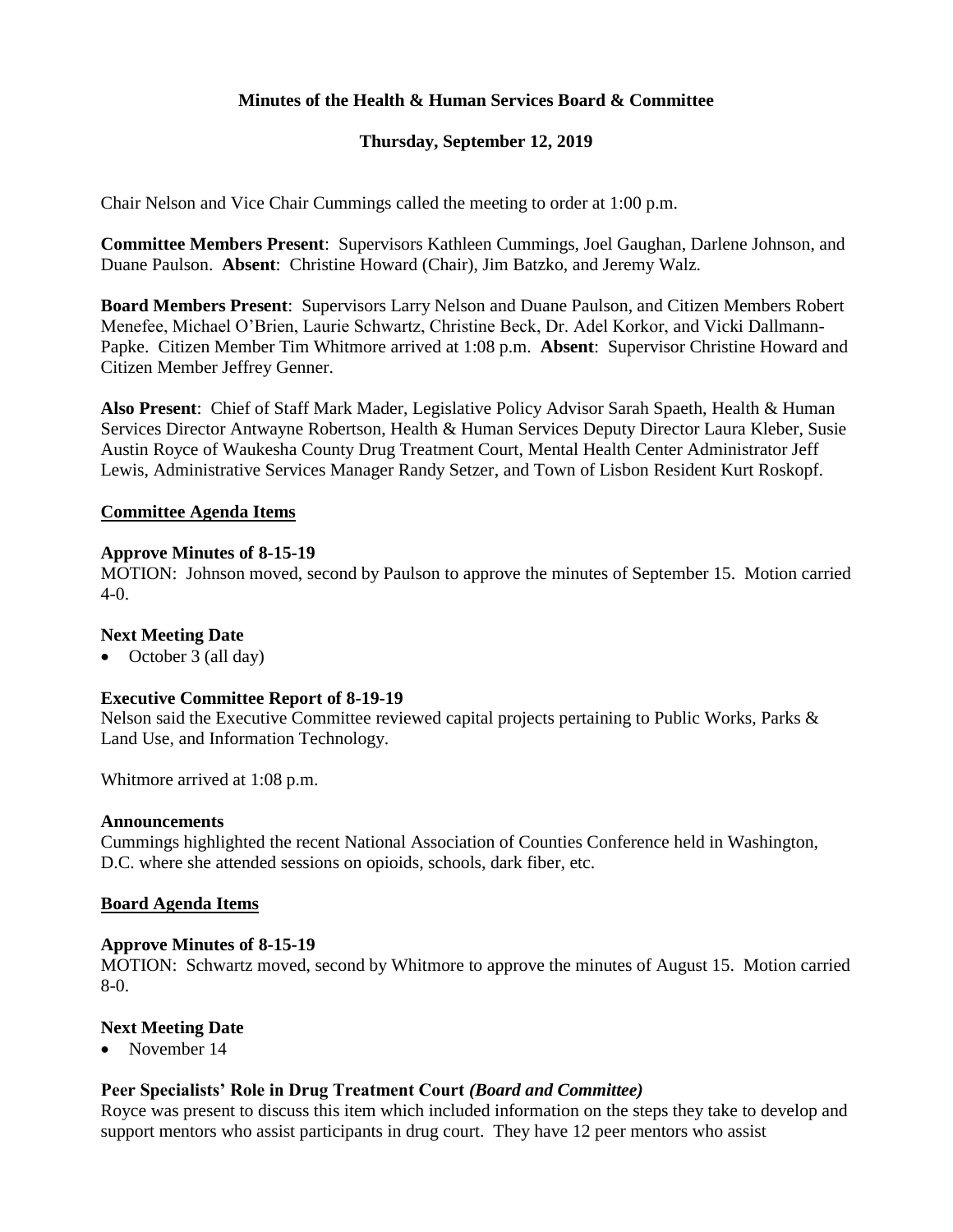# **Minutes of the Health & Human Services Board & Committee**

# **Thursday, September 12, 2019**

Chair Nelson and Vice Chair Cummings called the meeting to order at 1:00 p.m.

**Committee Members Present**: Supervisors Kathleen Cummings, Joel Gaughan, Darlene Johnson, and Duane Paulson. **Absent**: Christine Howard (Chair), Jim Batzko, and Jeremy Walz.

**Board Members Present**: Supervisors Larry Nelson and Duane Paulson, and Citizen Members Robert Menefee, Michael O'Brien, Laurie Schwartz, Christine Beck, Dr. Adel Korkor, and Vicki Dallmann-Papke. Citizen Member Tim Whitmore arrived at 1:08 p.m. **Absent**: Supervisor Christine Howard and Citizen Member Jeffrey Genner.

**Also Present**: Chief of Staff Mark Mader, Legislative Policy Advisor Sarah Spaeth, Health & Human Services Director Antwayne Robertson, Health & Human Services Deputy Director Laura Kleber, Susie Austin Royce of Waukesha County Drug Treatment Court, Mental Health Center Administrator Jeff Lewis, Administrative Services Manager Randy Setzer, and Town of Lisbon Resident Kurt Roskopf.

### **Committee Agenda Items**

#### **Approve Minutes of 8-15-19**

MOTION: Johnson moved, second by Paulson to approve the minutes of September 15. Motion carried 4-0.

## **Next Meeting Date**

• October 3 (all day)

#### **Executive Committee Report of 8-19-19**

Nelson said the Executive Committee reviewed capital projects pertaining to Public Works, Parks & Land Use, and Information Technology.

Whitmore arrived at 1:08 p.m.

#### **Announcements**

Cummings highlighted the recent National Association of Counties Conference held in Washington, D.C. where she attended sessions on opioids, schools, dark fiber, etc.

#### **Board Agenda Items**

#### **Approve Minutes of 8-15-19**

MOTION: Schwartz moved, second by Whitmore to approve the minutes of August 15. Motion carried 8-0.

#### **Next Meeting Date**

• November 14

## **Peer Specialists' Role in Drug Treatment Court** *(Board and Committee)*

Royce was present to discuss this item which included information on the steps they take to develop and support mentors who assist participants in drug court. They have 12 peer mentors who assist